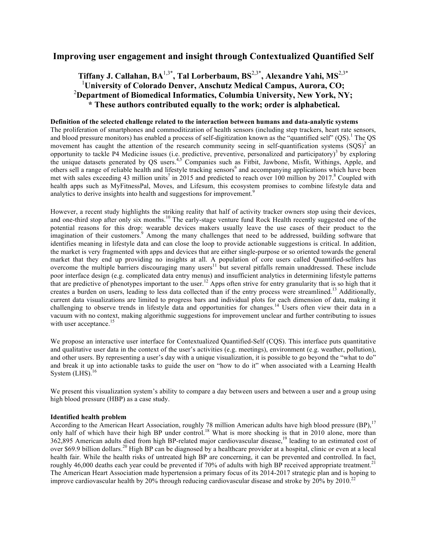# **Improving user engagement and insight through Contextualized Quantified Self**

# **Tiffany J. Callahan, BA**1,3\***, Tal Lorberbaum, BS**2,3\***, Alexandre Yahi, MS**2,3\* 1 **University of Colorado Denver, Anschutz Medical Campus, Aurora, CO;** 2 **Department of Biomedical Informatics, Columbia University, New York, NY; \* These authors contributed equally to the work; order is alphabetical.**

### **Definition of the selected challenge related to the interaction between humans and data-analytic systems**

The proliferation of smartphones and commoditization of health sensors (including step trackers, heart rate sensors, and blood pressure monitors) has enabled a process of self-digitization known as the "quantified self"  $(QS)$ .<sup>1</sup> The QS movement has caught the attention of the research community seeing in self-quantification systems  $(SQS)^2$  an opportunity to tackle P4 Medicine issues (i.e. predictive, preventive, personalized and participatory)<sup>3</sup> by exploring the unique datasets generated by QS users.<sup>4,5</sup> Companies such as Fitbit, Jawbone, Misfit, Withings, Apple, and others sell a range of reliable health and lifestyle tracking sensors<sup>6</sup> and accompanying applications which have been met with sales exceeding 43 million units<sup>7</sup> in 2015 and predicted to reach over 100 million by 2017.<sup>8</sup> Coupled with health apps such as MyFitnessPal, Moves, and Lifesum, this ecosystem promises to combine lifestyle data and analytics to derive insights into health and suggestions for improvement.<sup>9</sup>

However, a recent study highlights the striking reality that half of activity tracker owners stop using their devices, and one-third stop after only six months.<sup>10</sup> The early-stage venture fund Rock Health recently suggested one of the potential reasons for this drop: wearable devices makers usually leave the use cases of their product to the imagination of their customers.<sup>9</sup> Among the many challenges that need to be addressed, building software that identifies meaning in lifestyle data and can close the loop to provide actionable suggestions is critical. In addition, the market is very fragmented with apps and devices that are either single-purpose or so oriented towards the general market that they end up providing no insights at all. A population of core users called Quantified-selfers has overcome the multiple barriers discouraging many users<sup>11</sup> but several pitfalls remain unaddressed. These include poor interface design (e.g. complicated data entry menus) and insufficient analytics in determining lifestyle patterns that are predictive of phenotypes important to the user.<sup>12</sup> Apps often strive for entry granularity that is so high that it creates a burden on users, leading to less data collected than if the entry process were streamlined.<sup>13</sup> Additionally, current data visualizations are limited to progress bars and individual plots for each dimension of data, making it challenging to observe trends in lifestyle data and opportunities for changes.<sup>14</sup> Users often view their data in a vacuum with no context, making algorithmic suggestions for improvement unclear and further contributing to issues with user acceptance.<sup>15</sup>

We propose an interactive user interface for Contextualized Quantified-Self (CQS). This interface puts quantitative and qualitative user data in the context of the user's activities (e.g. meetings), environment (e.g. weather, pollution), and other users. By representing a user's day with a unique visualization, it is possible to go beyond the "what to do" and break it up into actionable tasks to guide the user on "how to do it" when associated with a Learning Health System  $(LHS).$ <sup>16</sup>

We present this visualization system's ability to compare a day between users and between a user and a group using high blood pressure (HBP) as a case study.

## **Identified health problem**

According to the American Heart Association, roughly 78 million American adults have high blood pressure (BP),<sup>17</sup> only half of which have their high BP under control.<sup>18</sup> What is more shocking is that in 2010 alone, more than 362,895 American adults died from high BP-related major cardiovascular disease, <sup>19</sup> leading to an estimated cost of over \$69.9 billion dollars.<sup>20</sup> High BP can be diagnosed by a healthcare provider at a hospital, clinic or even at a local health fair. While the health risks of untreated high BP are concerning, it can be prevented and controlled. In fact, roughly 46,000 deaths each year could be prevented if 70% of adults with high BP received appropriate treatment.<sup>21</sup> The American Heart Association made hypertension a primary focus of its 2014-2017 strategic plan and is hoping to improve cardiovascular health by 20% through reducing cardiovascular disease and stroke by 20% by 2010.<sup>22</sup>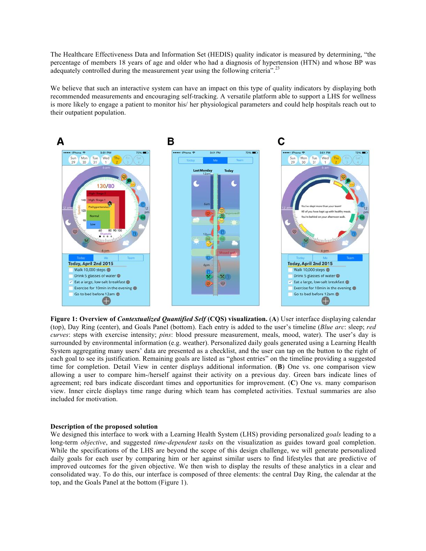The Healthcare Effectiveness Data and Information Set (HEDIS) quality indicator is measured by determining, "the percentage of members 18 years of age and older who had a diagnosis of hypertension (HTN) and whose BP was adequately controlled during the measurement year using the following criteria".<sup>23</sup>

We believe that such an interactive system can have an impact on this type of quality indicators by displaying both recommended measurements and encouraging self-tracking. A versatile platform able to support a LHS for wellness is more likely to engage a patient to monitor his/ her physiological parameters and could help hospitals reach out to their outpatient population.



**Figure 1: Overview of** *Contextualized Quantified Self* **(CQS) visualization.** (**A**) User interface displaying calendar (top), Day Ring (center), and Goals Panel (bottom). Each entry is added to the user's timeline (*Blue arc*: sleep; *red curves*: steps with exercise intensity; *pins*: blood pressure measurement, meals, mood, water). The user's day is surrounded by environmental information (e.g. weather). Personalized daily goals generated using a Learning Health System aggregating many users' data are presented as a checklist, and the user can tap on the button to the right of each goal to see its justification. Remaining goals are listed as "ghost entries" on the timeline providing a suggested time for completion. Detail View in center displays additional information. (**B**) One vs. one comparison view allowing a user to compare him-/herself against their activity on a previous day. Green bars indicate lines of agreement; red bars indicate discordant times and opportunities for improvement. (**C**) One vs. many comparison view. Inner circle displays time range during which team has completed activities. Textual summaries are also included for motivation.

#### **Description of the proposed solution**

We designed this interface to work with a Learning Health System (LHS) providing personalized *goals* leading to a long-term *objective*, and suggested *time-dependent tasks* on the visualization as guides toward goal completion. While the specifications of the LHS are beyond the scope of this design challenge, we will generate personalized daily goals for each user by comparing him or her against similar users to find lifestyles that are predictive of improved outcomes for the given objective. We then wish to display the results of these analytics in a clear and consolidated way. To do this, our interface is composed of three elements: the central Day Ring, the calendar at the top, and the Goals Panel at the bottom (Figure 1).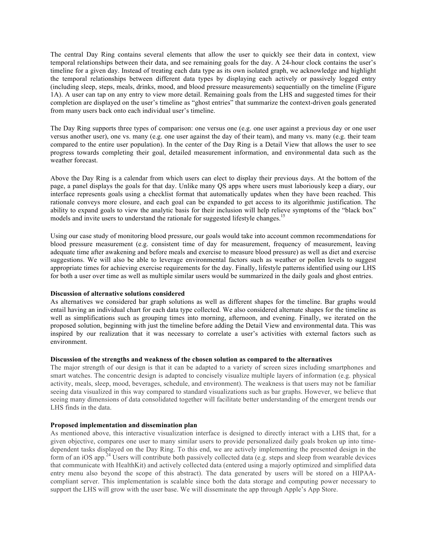The central Day Ring contains several elements that allow the user to quickly see their data in context, view temporal relationships between their data, and see remaining goals for the day. A 24-hour clock contains the user's timeline for a given day. Instead of treating each data type as its own isolated graph, we acknowledge and highlight the temporal relationships between different data types by displaying each actively or passively logged entry (including sleep, steps, meals, drinks, mood, and blood pressure measurements) sequentially on the timeline (Figure 1A). A user can tap on any entry to view more detail. Remaining goals from the LHS and suggested times for their completion are displayed on the user's timeline as "ghost entries" that summarize the context-driven goals generated from many users back onto each individual user's timeline.

The Day Ring supports three types of comparison: one versus one (e.g. one user against a previous day or one user versus another user), one vs. many (e.g. one user against the day of their team), and many vs. many (e.g. their team compared to the entire user population). In the center of the Day Ring is a Detail View that allows the user to see progress towards completing their goal, detailed measurement information, and environmental data such as the weather forecast

Above the Day Ring is a calendar from which users can elect to display their previous days. At the bottom of the page, a panel displays the goals for that day. Unlike many QS apps where users must laboriously keep a diary, our interface represents goals using a checklist format that automatically updates when they have been reached. This rationale conveys more closure, and each goal can be expanded to get access to its algorithmic justification. The ability to expand goals to view the analytic basis for their inclusion will help relieve symptoms of the "black box" models and invite users to understand the rationale for suggested lifestyle changes.<sup>15</sup>

Using our case study of monitoring blood pressure, our goals would take into account common recommendations for blood pressure measurement (e.g. consistent time of day for measurement, frequency of measurement, leaving adequate time after awakening and before meals and exercise to measure blood pressure) as well as diet and exercise suggestions. We will also be able to leverage environmental factors such as weather or pollen levels to suggest appropriate times for achieving exercise requirements for the day. Finally, lifestyle patterns identified using our LHS for both a user over time as well as multiple similar users would be summarized in the daily goals and ghost entries.

#### **Discussion of alternative solutions considered**

As alternatives we considered bar graph solutions as well as different shapes for the timeline. Bar graphs would entail having an individual chart for each data type collected. We also considered alternate shapes for the timeline as well as simplifications such as grouping times into morning, afternoon, and evening. Finally, we iterated on the proposed solution, beginning with just the timeline before adding the Detail View and environmental data. This was inspired by our realization that it was necessary to correlate a user's activities with external factors such as environment.

## **Discussion of the strengths and weakness of the chosen solution as compared to the alternatives**

The major strength of our design is that it can be adapted to a variety of screen sizes including smartphones and smart watches. The concentric design is adapted to concisely visualize multiple layers of information (e.g. physical activity, meals, sleep, mood, beverages, schedule, and environment). The weakness is that users may not be familiar seeing data visualized in this way compared to standard visualizations such as bar graphs. However, we believe that seeing many dimensions of data consolidated together will facilitate better understanding of the emergent trends our LHS finds in the data.

## **Proposed implementation and dissemination plan**

As mentioned above, this interactive visualization interface is designed to directly interact with a LHS that, for a given objective, compares one user to many similar users to provide personalized daily goals broken up into timedependent tasks displayed on the Day Ring. To this end, we are actively implementing the presented design in the form of an iOS app.<sup>24</sup> Users will contribute both passively collected data (e.g. steps and sleep from wearable devices that communicate with HealthKit) and actively collected data (entered using a majorly optimized and simplified data entry menu also beyond the scope of this abstract). The data generated by users will be stored on a HIPAAcompliant server. This implementation is scalable since both the data storage and computing power necessary to support the LHS will grow with the user base. We will disseminate the app through Apple's App Store.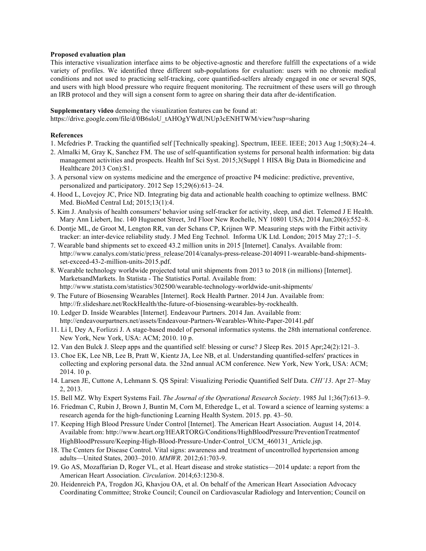### **Proposed evaluation plan**

This interactive visualization interface aims to be objective-agnostic and therefore fulfill the expectations of a wide variety of profiles. We identified three different sub-populations for evaluation: users with no chronic medical conditions and not used to practicing self-tracking, core quantified-selfers already engaged in one or several SQS, and users with high blood pressure who require frequent monitoring. The recruitment of these users will go through an IRB protocol and they will sign a consent form to agree on sharing their data after de-identification.

#### **Supplementary video** demoing the visualization features can be found at:

https://drive.google.com/file/d/0B6sloU\_tAHOgYWdUNUp3cENHTWM/view?usp=sharing

# **References**

- 1. Mcfedries P. Tracking the quantified self [Technically speaking]. Spectrum, IEEE. IEEE; 2013 Aug 1;50(8):24–4.
- 2. Almalki M, Gray K, Sanchez FM. The use of self-quantification systems for personal health information: big data management activities and prospects. Health Inf Sci Syst. 2015;3(Suppl 1 HISA Big Data in Biomedicine and Healthcare 2013 Con):S1.
- 3. A personal view on systems medicine and the emergence of proactive P4 medicine: predictive, preventive, personalized and participatory. 2012 Sep 15;29(6):613–24.
- 4. Hood L, Lovejoy JC, Price ND. Integrating big data and actionable health coaching to optimize wellness. BMC Med. BioMed Central Ltd; 2015;13(1):4.
- 5. Kim J. Analysis of health consumers' behavior using self-tracker for activity, sleep, and diet. Telemed J E Health. Mary Ann Liebert, Inc. 140 Huguenot Street, 3rd Floor New Rochelle, NY 10801 USA; 2014 Jun;20(6):552–8.
- 6. Dontje ML, de Groot M, Lengton RR, van der Schans CP, Krijnen WP. Measuring steps with the Fitbit activity tracker: an inter-device reliability study. J Med Eng Technol. Informa UK Ltd. London; 2015 May 27;:1–5.
- 7. Wearable band shipments set to exceed 43.2 million units in 2015 [Internet]. Canalys. Available from: http://www.canalys.com/static/press\_release/2014/canalys-press-release-20140911-wearable-band-shipmentsset-exceed-43-2-million-units-2015.pdf.
- 8. Wearable technology worldwide projected total unit shipments from 2013 to 2018 (in millions) [Internet]. MarketsandMarkets. In Statista - The Statistics Portal. Available from: http://www.statista.com/statistics/302500/wearable-technology-worldwide-unit-shipments/
- 9. The Future of Biosensing Wearables [Internet]. Rock Health Partner. 2014 Jun. Available from: http://fr.slideshare.net/RockHealth/the-future-of-biosensing-wearables-by-rockhealth.
- 10. Ledger D. Inside Wearables [Internet]. Endeavour Partners. 2014 Jan. Available from: http://endeavourpartners.net/assets/Endeavour-Partners-Wearables-White-Paper-20141.pdf
- 11. Li I, Dey A, Forlizzi J. A stage-based model of personal informatics systems. the 28th international conference. New York, New York, USA: ACM; 2010. 10 p.
- 12. Van den Bulck J. Sleep apps and the quantified self: blessing or curse? J Sleep Res. 2015 Apr;24(2):121–3.
- 13. Choe EK, Lee NB, Lee B, Pratt W, Kientz JA, Lee NB, et al. Understanding quantified-selfers' practices in collecting and exploring personal data. the 32nd annual ACM conference. New York, New York, USA: ACM; 2014. 10 p.
- 14. Larsen JE, Cuttone A, Lehmann S. QS Spiral: Visualizing Periodic Quantified Self Data. *CHI'13*. Apr 27–May 2, 2013.
- 15. Bell MZ. Why Expert Systems Fail. *The Journal of the Operational Research Society*. 1985 Jul 1;36(7):613–9.
- 16. Friedman C, Rubin J, Brown J, Buntin M, Corn M, Etheredge L, et al. Toward a science of learning systems: a research agenda for the high-functioning Learning Health System. 2015. pp. 43–50.
- 17. Keeping High Blood Pressure Under Control [Internet]. The American Heart Association. August 14, 2014. Available from: http://www.heart.org/HEARTORG/Conditions/HighBloodPressure/PreventionTreatmentof HighBloodPressure/Keeping-High-Blood-Pressure-Under-Control\_UCM\_460131\_Article.jsp.
- 18. The Centers for Disease Control. Vital signs: awareness and treatment of uncontrolled hypertension among adults—United States, 2003–2010. *MMWR*. 2012;61:703-9.
- 19. Go AS, Mozaffarian D, Roger VL, et al. Heart disease and stroke statistics—2014 update: a report from the American Heart Association. *Circulation*. 2014;63:1230-8.
- 20. Heidenreich PA, Trogdon JG, Khavjou OA, et al. On behalf of the American Heart Association Advocacy Coordinating Committee; Stroke Council; Council on Cardiovascular Radiology and Intervention; Council on